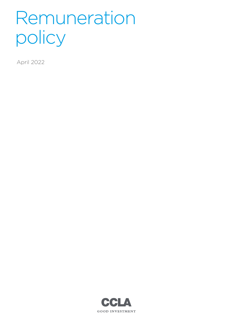# Remuneration policy

April 2022

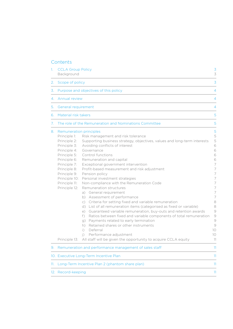## **Contents**

| 1.  | <b>CCLA Group Policy</b><br>Background<br>Scope of policy<br>Purpose and objectives of this policy<br><b>Annual review</b><br><b>General requirement</b>                                                                                           |                                                                                                                                                                                                                                                                                                                                                                                                                                                                                                                                                                                                                                                                                                                                                                                                                                                                                                                                                                                                         | $\overline{3}$<br>3<br>3<br>4<br>4<br>4                                                                                                                         |
|-----|----------------------------------------------------------------------------------------------------------------------------------------------------------------------------------------------------------------------------------------------------|---------------------------------------------------------------------------------------------------------------------------------------------------------------------------------------------------------------------------------------------------------------------------------------------------------------------------------------------------------------------------------------------------------------------------------------------------------------------------------------------------------------------------------------------------------------------------------------------------------------------------------------------------------------------------------------------------------------------------------------------------------------------------------------------------------------------------------------------------------------------------------------------------------------------------------------------------------------------------------------------------------|-----------------------------------------------------------------------------------------------------------------------------------------------------------------|
| 2.  |                                                                                                                                                                                                                                                    |                                                                                                                                                                                                                                                                                                                                                                                                                                                                                                                                                                                                                                                                                                                                                                                                                                                                                                                                                                                                         |                                                                                                                                                                 |
| 3.  |                                                                                                                                                                                                                                                    |                                                                                                                                                                                                                                                                                                                                                                                                                                                                                                                                                                                                                                                                                                                                                                                                                                                                                                                                                                                                         |                                                                                                                                                                 |
| 4.  |                                                                                                                                                                                                                                                    |                                                                                                                                                                                                                                                                                                                                                                                                                                                                                                                                                                                                                                                                                                                                                                                                                                                                                                                                                                                                         |                                                                                                                                                                 |
| 5.  |                                                                                                                                                                                                                                                    |                                                                                                                                                                                                                                                                                                                                                                                                                                                                                                                                                                                                                                                                                                                                                                                                                                                                                                                                                                                                         |                                                                                                                                                                 |
| 6.  | Material risk takers                                                                                                                                                                                                                               |                                                                                                                                                                                                                                                                                                                                                                                                                                                                                                                                                                                                                                                                                                                                                                                                                                                                                                                                                                                                         | 5                                                                                                                                                               |
| 7.  | The role of the Remuneration and Nominations Committee                                                                                                                                                                                             |                                                                                                                                                                                                                                                                                                                                                                                                                                                                                                                                                                                                                                                                                                                                                                                                                                                                                                                                                                                                         | 5                                                                                                                                                               |
| 8.  | <b>Remuneration principles</b><br>Principle 1:<br>Principle 2:<br>Principle 3:<br>Principle 4:<br>Principle 5:<br>Principle 6:<br>Principle 7:<br>Principle 8:<br>Principle 9:<br>Principle 10:<br>Principle 11:<br>Principle 12:<br>Principle 13: | Risk management and risk tolerance<br>Supporting business strategy, objectives, values and long-term interests<br>Avoiding conflicts of interest<br>Governance<br>Control functions<br>Remuneration and capital<br>Exceptional government intervention<br>Profit-based measurement and risk adjustment<br>Pension policy<br>Personal investment strategies<br>Non-compliance with the Remuneration Code<br>Remuneration structures<br>a) General requirement<br>b) Assessment of performance<br>c) Criteria for setting fixed and variable remuneration<br>d) List of all remuneration items (categorised as fixed or variable)<br>e) Guaranteed variable remuneration, buy-outs and retention awards<br>f) Ratios between fixed and variable components of total remuneration<br>g) Payments related to early termination<br>h) Retained shares or other instruments<br>Deferral<br>$\vert$ )<br>Performance adjustment<br>$\vert$ )<br>All staff will be given the opportunity to acquire CCLA equity | 5<br>5<br>5<br>6<br>6<br>6<br>6<br>$\overline{7}$<br>7<br>7<br>7<br>7<br>7<br>7<br>7<br>8<br>8<br>9<br>$\mathcal{Q}$<br>$\bigcirc$<br>$\circ$<br>10<br>10<br>11 |
| 9.  | Remuneration and performance management of sales staff                                                                                                                                                                                             |                                                                                                                                                                                                                                                                                                                                                                                                                                                                                                                                                                                                                                                                                                                                                                                                                                                                                                                                                                                                         | 11                                                                                                                                                              |
|     | 10. Executive Long-Term Incentive Plan                                                                                                                                                                                                             |                                                                                                                                                                                                                                                                                                                                                                                                                                                                                                                                                                                                                                                                                                                                                                                                                                                                                                                                                                                                         | 11                                                                                                                                                              |
| 11. | Long-Term Incentive Plan 2 (phantom share plan)                                                                                                                                                                                                    |                                                                                                                                                                                                                                                                                                                                                                                                                                                                                                                                                                                                                                                                                                                                                                                                                                                                                                                                                                                                         | 11                                                                                                                                                              |
|     | 12. Record-keeping                                                                                                                                                                                                                                 |                                                                                                                                                                                                                                                                                                                                                                                                                                                                                                                                                                                                                                                                                                                                                                                                                                                                                                                                                                                                         | 11                                                                                                                                                              |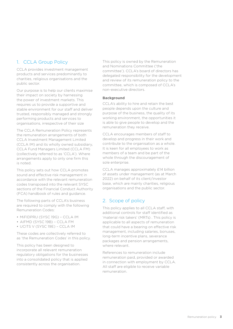# <span id="page-2-0"></span>1. CCLA Group Policy

CCLA provides investment management products and services predominantly to charities, religious organisations and the public sector.

Our purpose is to help our clients maximise their impact on society by harnessing the power of investment markets. This requires us to provide a supportive and stable environment for our staff and deliver trusted, responsibly managed and strongly performing products and services to organisations, irrespective of their size

The CCLA Remuneration Policy represents the remuneration arrangements of both CCLA Investment Management Limited (CCLA IM) and its wholly owned subsidiary, CCLA Fund Managers Limited (CCLA FM) (collectively referred to as 'CCLA'). Where arrangements apply to only one firm this is noted.

This policy sets out how CCLA promotes sound and effective risk management in accordance with the relevant remuneration codes transposed into the relevant SYSC sections of the Financial Conduct Authority (FCA) handbook of rules and guidance.

The following parts of CCLA's business are required to comply with the following Remuneration Codes:

- MiFIDPRU (SYSC 19G) CCLA IM
- AIFMD (SYSC 19B) CCLA FM
- UCITS V (SYSC 19E) CCLA IM

These codes are collectively referred to as 'the Remuneration Codes' in this policy.

This policy has been designed to incorporate all relevant remuneration regulatory obligations for the businesses into a consolidated policy that is applied consistently across the organisation.

This policy is owned by the Remuneration and Nominations Committee ('the committee'). CCLA's board of directors has delegated responsibility for the development and review of its remuneration policy to the committee, which is composed of CCLA's non-executive directors.

#### **Background**

CCLA's ability to hire and retain the best people depends upon the culture and purpose of the business, the quality of its working environment, the opportunities it is able to give people to develop and the remuneration they receive.

CCLA encourages members of staff to develop and progress in their work and contribute to the organisation as a whole. It is keen for all employees to work as members of a team and be part of the whole through the discouragement of sole enterprise.

CCLA manages approximately £14 billion of assets under management (as at March 2022) on behalf of its client/investor base, which are mainly charities, religious organisations and the public sector.

## 2. Scope of policy

This policy applies to all CCLA staff, with additional controls for staff identified as 'material risk takers' (MRTs) . This policy is applicable to all aspects of remuneration that could have a bearing on effective risk management, including salaries, bonuses, long-term incentive plans, severance packages and pension arrangements, where relevant.

References to remuneration include remuneration paid, provided or awarded in connection with employment by CCLA. All staff are eligible to receive variable remuneration.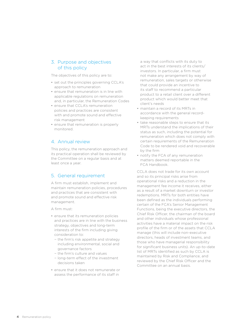## <span id="page-3-0"></span>3. Purpose and objectives of this policy

The objectives of this policy are to:

- set out the principles governing CCLA's approach to remuneration
- ensure that remuneration is in line with applicable regulations on remuneration and, in particular, the Remuneration Codes
- ensure that CCLA's remuneration policies and practices are consistent with and promote sound and effective risk management
- ensure that remuneration is properly monitored.

## 4. Annual review

This policy, the remuneration approach and its practical operation shall be reviewed by the Committee on a regular basis and at least once a year.

## 5. General requirement

A firm must establish, implement and maintain remuneration policies, procedures and practices that are consistent with and promote sound and effective risk management.

A firm must:

- ensure that its remuneration policies and practices are in line with the business strategy, objectives and long-term interests of the firm including giving consideration to:
	- − the firm's risk appetite and strategy including environmental, social and governance factors
	- − the firm's culture and values
	- − long-term effect of the investment decisions taken
- ensure that it does not remunerate or assess the performance of its staff in

a way that conflicts with its duty to act in the best interests of its clients/ investors. In particular, a firm must not make any arrangement by way of remuneration, sales targets or otherwise that could provide an incentive to its staff to recommend a particular product to a retail client over a different product which would better meet that client's needs

- maintain a record of its MRTs in accordance with the general recordkeeping requirements
- take reasonable steps to ensure that its MRTs understand the implications of their status as such, including the potential for remuneration which does not comply with certain requirements of the Remuneration Code to be rendered void and recoverable by the firm
- notify the FCA of any remuneration matters deemed reportable in the FCA Handbook.

CCLA does not trade for its own account and so its principal risks arise from operational risks and a reduction in the management fee income it receives, either as a result of a market downturn or investor redemptions. MRTs for both entities have been defined as the individuals performing certain of the FCA's Senior Management Functions, being the executive directors, the Chief Risk Officer, the chairman of the board and other individuals whose professional activities have a material impact on the risk profile of the firm or of the assets that CCLA manage (this will include non-executive directors, heads of investment teams, and those who have managerial responsibility for significant business units). An up-to-date list of MRTs identified as such by CCLA is maintained by Risk and Compliance, and reviewed by the Chief Risk Officer and the Committee on an annual basis.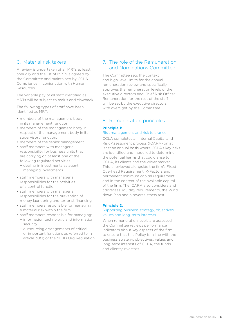## <span id="page-4-0"></span>6. Material risk takers

A review is undertaken of all MRTs at least annually and the list of MRTs is agreed by the Committee and maintained by CCLA Compliance in conjunction with Human Resources.

The variable pay of all staff identified as MRTs will be subject to malus and clawback.

The following types of staff have been identified as MRTs:

- members of the management body in its management function
- members of the management body in respect of the management body in its supervisory function;
- members of the senior management
- staff members with managerial responsibility for business units that are carrying on at least one of the following regulated activities
	- − dealing in investments as agent
	- − managing investments
- staff members with managerial responsibilities for the activities of a control function
- staff members with managerial responsibilities for the prevention of money laundering and terrorist financing
- staff members responsible for managing a material risk within the firm
- staff members responsible for managing: − information technology and information security
	- − outsourcing arrangements of critical or important functions as referred to in article 30(1) of the MiFID Org Regulation.

## 7. The role of the Remuneration and Nominations Committee

The Committee sets the context and high-level limits for the annual remuneration review and specifically approves the remuneration levels of the executive directors and Chief Risk Officer. Remuneration for the rest of the staff will be set by the executive directors with oversight by the Committee.

## 8. Remuneration principles

#### **Principle 1:**

#### Risk management and risk tolerance

CCLA completes an Internal Capital and Risk Assessment process (ICARA) on at least an annual basis where CCLA's key risks are identified and modelled to determine the potential harms that could arise to CCLA, its clients and the wider market. This is reviewed alongside the firm's Fixed Overhead Requirement, K-Factors and permanent minimum capital requirement and in the context of the available capital of the firm. The ICARA also considers and addresses liquidity requirements, the Winddown Plan and a reverse stress test.

#### **Principle 2:**

#### Supporting business strategy, objectives, values and long-term interests

When remuneration levels are assessed, the Committee reviews performance indicators about key aspects of the firm to ensure that this Policy is in line with the business strategy, objectives, values and long-term interests of CCLA, the funds and clients/investors.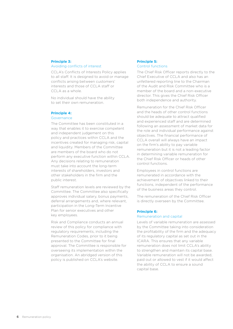#### <span id="page-5-0"></span>**Principle 3:** Avoiding conflicts of interest

CCLA's Conflicts of Interests Policy applies to all staff. It is designed to avoid or manage conflicts arising between customers' interests and those of CCLA staff or CCLA as a whole.

No individual should have the ability to set their own remuneration.

#### **Principle 4:**

#### Governance

The Committee has been constituted in a way that enables it to exercise competent and independent judgement on this policy and practices within CCLA and the incentives created for managing risk, capital and liquidity. Members of the Committee are members of the board who do not perform any executive function within CCLA. Any decisions relating to remuneration must take into account the long-term interests of shareholders, investors and other stakeholders in the firm and the public interest.

Staff remuneration levels are reviewed by the Committee. The Committee also specifically approves individual salary, bonus payments, deferral arrangements and, where relevant, participation in the Long-Term Incentive Plan for senior executives and other key employees.

Risk and Compliance conducts an annual review of this policy for compliance with regulatory requirements, including the Remuneration Codes, prior to it being presented to the Committee for final approval. The Committee is responsible for overseeing its implementation within the organisation. An abridged version of this policy is published on CCLA's website.

#### **Principle 5:** Control functions

The Chief Risk Officer reports directly to the Chief Executive of CCLA and also has an unfettered reporting line to the Chairman of the Audit and Risk Committee who is a member of the board and a non-executive director. This gives the Chief Risk Officer both independence and authority.

Remuneration for the Chief Risk Officer and the heads of other control functions should be adequate to attract qualified and experienced staff and are determined following an assessment of market data for the role and individual performance against objectives. The financial performance of CCLA overall will always have an impact on the firm's ability to pay variable remuneration but it is not a leading factor in determining variable remuneration for the Chief Risk Officer or heads of other control functions.

Employees in control functions are remunerated in accordance with the achievement of objectives linked to their functions, independent of the performance of the business areas they control.

The remuneration of the Chief Risk Officer is directly overseen by the Committee.

#### **Principle 6:**

#### Remuneration and capital

Levels of variable remuneration are assessed by the Committee taking into consideration the profitability of the firm and the adequacy of its regulatory capital as set out in the ICARA. This ensures that any variable remuneration does not limit CCLA's ability to strengthen and maintain its capital base. Variable remuneration will not be awarded, paid out or allowed to vest if it would affect the ability of CCLA to ensure a sound capital base.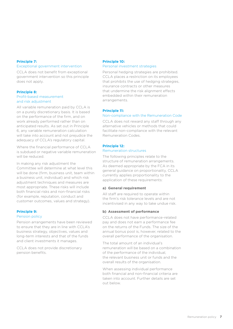## <span id="page-6-0"></span>**Principle 7:**

## Exceptional government intervention

CCLA does not benefit from exceptional government intervention so this principle does not apply.

#### **Principle 8:** Profit-based measurement and risk adjustment

All variable remuneration paid by CCLA is on a purely discretionary basis. It is based on the performance of the firm, and on work already performed rather than on anticipated results. As set out in Principle 6, any variable remuneration calculation will take into account and not prejudice the adequacy of CCLA's regulatory capital.

Where the financial performance of CCLA is subdued or negative variable remuneration will be reduced.

In making any risk adjustment the Committee will determine at what level this will be done (firm, business unit, team within a business unit, individual) and which risk adjustment techniques and measures are most appropriate. These risks will include both financial risks and non-financial risks (for example, reputation, conduct and customer outcomes, values and strategy).

#### **Principle 9:**

#### Pension policy

Pension arrangements have been reviewed to ensure that they are in line with CCLA's business strategy, objectives, values and long-term interests and that of the funds and client investments it manages.

CCLA does not provide discretionary pension benefits.

#### **Principle 10:** Personal investment strategies

Personal hedging strategies are prohibited. CCLA places a restriction on its employees that prohibits the use of hedging strategies, insurance contracts or other measures that undermine the risk alignment effects embedded within their remuneration arrangements.

#### **Principle 11:**

#### Non-compliance with the Remuneration Code

CCLA does not reward any staff through any alternative vehicles or methods that could facilitate non-compliance with the relevant Remuneration Codes.

#### **Principle 12:**

#### Remuneration structures

The following principles relate to the structure of remuneration arrangements. As deemed appropriate by the FCA in its general guidance on proportionality, CCLA currently applies proportionality to the application of these requirements:

#### **a) General requirement**

All staff are required to operate within the firm's risk tolerance levels and are not incentivised in any way to take undue risk.

#### **b) Assessment of performance**

CCLA does not have performance-related pay and does not earn a performance fee on the returns of the Funds. The size of the annual bonus pool is, however, related to the overall performance of the organisation.

The total amount of an individual's remuneration will be based on a combination of the performance of the individual, the relevant business unit or funds and the overall results of the organisation.

When assessing individual performance both financial and non-financial criteria are taken into account. Further details are set out below.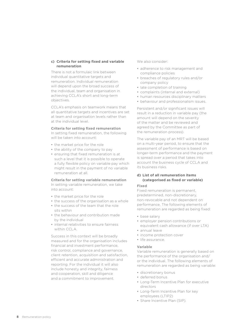#### <span id="page-7-0"></span>**c) Criteria for setting fixed and variable remuneration**

There is not a formulaic link between individual quantitative targets and remuneration. Individual remuneration will depend upon the broad success of the individual, team and organisation in achieving CCLA's short and long-term objectives.

CCLA's emphasis on teamwork means that all quantitative targets and incentives are set at team and organisation levels rather than at the individual level.

#### **Criteria for setting fixed remuneration**

In setting fixed remuneration, the following will be taken into account:

- the market price for the role
- the ability of the company to pay
- ensuring that fixed remuneration is at such a level that it is possible to operate a fully flexible policy on variable pay which might result in the payment of no variable remuneration at all.

#### **Criteria for setting variable remuneration**

In setting variable remuneration, we take into account:

- the market price for the role
- the success of the organisation as a whole
- the success of the team that the role sits within
- the behaviour and contribution made by the individual
- internal relativities to ensure fairness within CCLA.

Success in this context will be broadly measured and for the organisation includes financial and investment performance, risk control, compliance and governance, client retention, acquisition and satisfaction, efficient and accurate administration and reporting. For the individual it will also include honesty and integrity, fairness and cooperation, skill and diligence and a commitment to improvement.

We also consider:

- adherence to risk management and compliance policies
- breaches of regulatory rules and/or company policy
- late completion of training
- complaints (internal and external)
- human resources disciplinary matters
- behaviour and professionalism issues.

Persistent and/or significant issues will result in a reduction in variable pay (the amount will depend on the severity of the matter and be reviewed and agreed by the Committee as part of the remuneration process).

The variable pay of an MRT will be based on a multi-year period, to ensure that the assessment of performance is based on longer-term performance and the payment is spread over a period that takes into account the business cycle of CCLA and its business risks.

#### **d) List of all remuneration items (categorised as fixed or variable)**

#### **Fixed**

Fixed remuneration is permanent, predetermined, non-discretionary, non-revocable and not dependent on performance. The following elements of remuneration are regarded as being fixed:

- base salary
- employer pension contributions or equivalent cash allowance (if over LTA)
- annual leave
- income protection cover
- life assurance.

#### **Variable**

Variable remuneration is generally based on the performance of the organisation and/ or the individual. The following elements of remuneration are regarded as being variable:

- discretionary bonus
- deferred bonus
- Long-Term Incentive Plan for executive directors
- Long-Term Incentive Plan for key employees (LTIP2)
- Share Incentive Plan (SIP).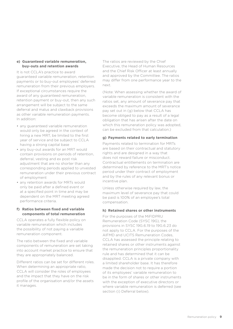#### <span id="page-8-0"></span>**e) Guaranteed variable remuneration, buy‑outs and retention awards**

It is not CCLA's practice to award guaranteed variable remuneration, retention payments or to buy-out employees' deferred remuneration from their previous employers. If exceptional circumstances require the award of any guaranteed remuneration, retention payment or buy-out, then any such arrangement will be subject to the same deferral and malus and clawback provisions as other variable remuneration payments. In addition:

- any guaranteed variable remuneration would only be agreed in the context of hiring a new MRT, be limited to the first year of service and be subject to CCLA having a strong capital base
- any buy-out awards for an MRT would contain provisions on periods of retention, deferral, vesting and ex post risk adjustment that are no shorter than any corresponding periods applied to unvested remuneration under their previous contract of employment
- any retention awards for MRTs would only be paid after a defined event or at a specified point in time and may be dependent on the MRT meeting agreed performance criteria.

#### **f) Ratios between fixed and variable components of total remuneration**

CCLA operates a fully flexible policy on variable remuneration which includes the possibility of not paying a variable remuneration component.

The ratio between the fixed and variable components of remuneration are set taking into account market practice to ensure that they are appropriately balanced.

Different ratios can be set for different roles. When determining an appropriate ratio, CCLA will consider the roles of employees and the impact that they have on the risk profile of the organisation and/or the assets it manages.

The ratios are reviewed by the Chief Executive, the Head of Human Resources and the Chief Risk Officer at least annually and approved by the Committee. The ratios may differ from one performance year to the next.

(Note: When assessing whether the award of variable remuneration is consistent with the ratios set, any amount of severance pay that exceeds the maximum amount of severance pay set out in (g) below that CCLA has become obliged to pay as a result of a legal obligation that has arisen after the date on which this remuneration policy was adopted, can be excluded from that calculation.)

#### **g) Payments related to early termination**

Payments related to termination for MRTs are based on their contractual and statutory rights and are designed in a way that does not reward failure or misconduct. Contractual entitlements on termination are determined by reference to the MRT's notice period under their contract of employment and by the rules of any relevant bonus or incentive plan.

Unless otherwise required by law, the maximum level of severance pay that could be paid is 100% of an employee's total compensation.

## **h) Retained shares or other instruments**

For the purposes of the MiFIDPRU Remuneration Code (SYSC 19G), the provisions in SYSC 19G.6.19 to 19G.6.23 do not apply to CCLA. For the purposes of the AIFMD and UCITS Remuneration Codes, CCLA has assessed the principle relating to retained shares or other instruments against the remuneration principles proportionality rule and has determined that it can be disapplied. CCLA is a private company with a limited shareholder base. It has therefore made the decision not to require a portion of its employees' variable remuneration to be in the form of shares or other instruments with the exception of executive directors or where variable remuneration is deferred (see section (i) Deferral below).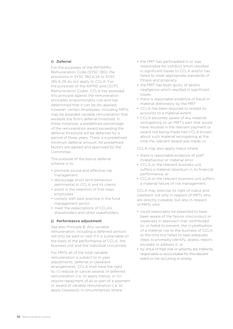#### <span id="page-9-0"></span>**i) Deferral**

For the purposes of the MiFIDPRU Remuneration Code (SYSC 19G), the provisions in SYSC 19G.6.24 to SYSC 19G.6.29 do not apply to CCLA. For the purposes of the AIFMD and UCITS Remuneration Codes, CCLA has assessed this principle against the remuneration principles proportionality rule and has determined that it can be dis-applied; however, certain employees, including MRTs, may be awarded variable remuneration that exceeds the firm's deferral threshold. In these instances, a predefined percentage of the remuneration award exceeding the deferral threshold will be deferred for a period of three years. There is a predefined minimum deferral amount. All predefined factors are agreed and approved by the Committee.

The purpose of the bonus deferral scheme is to:

- promote sound and effective risk management
- discourage short term behaviour detrimental to CCLA and its clients
- assist in the retention of first-class employees
- comply with best practice in the fund management sector
- meet the expectations of CCLA's shareholders and other stakeholders.

#### **j) Performance adjustment**

See also Principle 8. Any variable remuneration, including a deferred portion, will only be paid or vest if it is sustainable on the basis of the performance of CCLA, the business unit and the individual concerned.

For MRTs all of the total variable remuneration is subject to in-year adjustments, deferral or clawback arrangements. CCLA shall have the right to: (i) reduce or cancel awards of deferred remuneration (i.e. to apply malus); or (ii) require repayment of all or part of a payment or award of variable remuneration (i.e. to apply clawback) in circumstances where:

- the MRT has participated in or was responsible for conduct which resulted in significant losses to CCLA and/or has failed to meet appropriate standards of fitness and propriety
- the MRT has been guilty of severe negligence which resulted in significant losses
- there is reasonable evidence of fraud or material dishonesty by the MRT
- CCLA has been required to restate its accounts to a material extent
- CCLA becomes aware of any material wrongdoing on an MRT's part that would have resulted in the relevant payment or award not being made had CCLA known about such material wrongdoing at the time the relevant award was made; or

CCLA may also apply malus where:

- there is reasonable evidence of staff misbehaviour or material error
- CCLA or the relevant business unit suffers a material downturn in its financial performance; or
- CCLA or the relevant business unit suffers a material failure of risk management.

CCLA may exercise its right of malus and clawback not only in respect of MRTs who are directly culpable, but also in respect of MRTs who:

- could reasonably be expected to have been aware of the failure, misconduct or weakness in approach that contributed to, or failed to prevent, the crystallisation of a material risk to the business of CCLA at the time but failed to take adequate steps to promptly identify, assess, report, escalate or address it; or
- by virtue of their role or seniority are indirectly responsible or accountable for the relevant event or risk occurring or arising.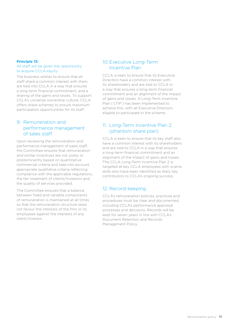#### <span id="page-10-0"></span>**Principle 13:**

#### All staff will be given the opportunity to acquire CCLA equity

The business wishes to ensure that all staff share a common interest with them, are tied into CCLA in a way that ensures a long-term financial commitment, and a sharing of the gains and losses. To support CCLA's universal ownership culture, CCLA offers share schemes to ensure maximum participation opportunities for its staff.

## 9. Remuneration and performance management of sales staff

Upon reviewing the remuneration and performance management of sales staff, the Committee ensures that remuneration and similar incentives are not solely or predominantly based on quantitative commercial criteria and take into account appropriate qualitative criteria reflecting compliance with the applicable regulations, the fair treatment of clients/investors and the quality of services provided.

The Committee ensures that a balance between fixed and variable components of remuneration is maintained at all times so that the remuneration structure does not favour the interests of the firm or its employees against the interests of any client/investor.

## 10.Executive Long-Term Incentive Plan

CCLA is keen to ensure that its Executive Directors have a common interest with its shareholders and are tied to CCLA in a way that ensures a long-term financial commitment and an alignment of the impact of gains and losses. A Long-Term Incentive Plan ('LTIP') has been implemented to achieve this, with all Executive Directors eligible to participate in the scheme.

## 11. Long-Term Incentive Plan 2 (phantom share plan)

CCLA is keen to ensure that its key staff also have a common interest with its shareholders and are tied to CCLA in a way that ensures a long-term financial commitment and an alignment of the impact of gains and losses. The CCLA Long-Term Incentive Plan 2 is targeted at key CCLA employees with scarce skills who have been identified as likely key contributors to CCLA's ongoing success.

## 12. Record-keeping

CCLA's remuneration policies, practices and procedures must be clear and documented, including CCLA's performance appraisal processes and decisions. Records will be kept for seven years in line with CCLA's Document Retention and Records Management Policy.